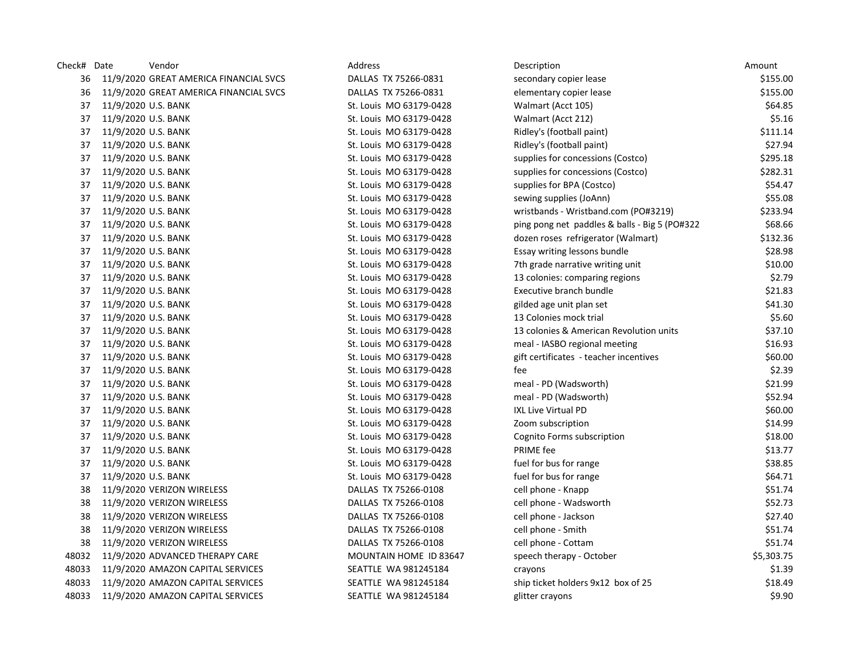| Check# Date |                     | Vendor                                 | Address                 | Description                                   | Amount     |
|-------------|---------------------|----------------------------------------|-------------------------|-----------------------------------------------|------------|
| 36          |                     | 11/9/2020 GREAT AMERICA FINANCIAL SVCS | DALLAS TX 75266-0831    | secondary copier lease                        | \$155.00   |
| 36          |                     | 11/9/2020 GREAT AMERICA FINANCIAL SVCS | DALLAS TX 75266-0831    | elementary copier lease                       | \$155.00   |
| 37          | 11/9/2020 U.S. BANK |                                        | St. Louis MO 63179-0428 | Walmart (Acct 105)                            | \$64.85    |
| 37          | 11/9/2020 U.S. BANK |                                        | St. Louis MO 63179-0428 | Walmart (Acct 212)                            | \$5.16     |
| 37          | 11/9/2020 U.S. BANK |                                        | St. Louis MO 63179-0428 | Ridley's (football paint)                     | \$111.14   |
| 37          | 11/9/2020 U.S. BANK |                                        | St. Louis MO 63179-0428 | Ridley's (football paint)                     | \$27.94    |
| 37          | 11/9/2020 U.S. BANK |                                        | St. Louis MO 63179-0428 | supplies for concessions (Costco)             | \$295.18   |
| 37          | 11/9/2020 U.S. BANK |                                        | St. Louis MO 63179-0428 | supplies for concessions (Costco)             | \$282.31   |
| 37          | 11/9/2020 U.S. BANK |                                        | St. Louis MO 63179-0428 | supplies for BPA (Costco)                     | \$54.47    |
| 37          | 11/9/2020 U.S. BANK |                                        | St. Louis MO 63179-0428 | sewing supplies (JoAnn)                       | \$55.08    |
| 37          | 11/9/2020 U.S. BANK |                                        | St. Louis MO 63179-0428 | wristbands - Wristband.com (PO#3219)          | \$233.94   |
| 37          | 11/9/2020 U.S. BANK |                                        | St. Louis MO 63179-0428 | ping pong net paddles & balls - Big 5 (PO#322 | \$68.66    |
| 37          | 11/9/2020 U.S. BANK |                                        | St. Louis MO 63179-0428 | dozen roses refrigerator (Walmart)            | \$132.36   |
| 37          | 11/9/2020 U.S. BANK |                                        | St. Louis MO 63179-0428 | Essay writing lessons bundle                  | \$28.98    |
| 37          | 11/9/2020 U.S. BANK |                                        | St. Louis MO 63179-0428 | 7th grade narrative writing unit              | \$10.00    |
| 37          | 11/9/2020 U.S. BANK |                                        | St. Louis MO 63179-0428 | 13 colonies: comparing regions                | \$2.79     |
| 37          | 11/9/2020 U.S. BANK |                                        | St. Louis MO 63179-0428 | Executive branch bundle                       | \$21.83    |
| 37          | 11/9/2020 U.S. BANK |                                        | St. Louis MO 63179-0428 | gilded age unit plan set                      | \$41.30    |
| 37          | 11/9/2020 U.S. BANK |                                        | St. Louis MO 63179-0428 | 13 Colonies mock trial                        | \$5.60     |
| 37          | 11/9/2020 U.S. BANK |                                        | St. Louis MO 63179-0428 | 13 colonies & American Revolution units       | \$37.10    |
| 37          | 11/9/2020 U.S. BANK |                                        | St. Louis MO 63179-0428 | meal - IASBO regional meeting                 | \$16.93    |
| 37          | 11/9/2020 U.S. BANK |                                        | St. Louis MO 63179-0428 | gift certificates - teacher incentives        | \$60.00    |
| 37          | 11/9/2020 U.S. BANK |                                        | St. Louis MO 63179-0428 | fee                                           | \$2.39     |
| 37          | 11/9/2020 U.S. BANK |                                        | St. Louis MO 63179-0428 | meal - PD (Wadsworth)                         | \$21.99    |
| 37          | 11/9/2020 U.S. BANK |                                        | St. Louis MO 63179-0428 | meal - PD (Wadsworth)                         | \$52.94    |
| 37          | 11/9/2020 U.S. BANK |                                        | St. Louis MO 63179-0428 | <b>IXL Live Virtual PD</b>                    | \$60.00    |
| 37          | 11/9/2020 U.S. BANK |                                        | St. Louis MO 63179-0428 | Zoom subscription                             | \$14.99    |
| 37          | 11/9/2020 U.S. BANK |                                        | St. Louis MO 63179-0428 | Cognito Forms subscription                    | \$18.00    |
| 37          | 11/9/2020 U.S. BANK |                                        | St. Louis MO 63179-0428 | PRIME fee                                     | \$13.77    |
| 37          | 11/9/2020 U.S. BANK |                                        | St. Louis MO 63179-0428 | fuel for bus for range                        | \$38.85    |
| 37          | 11/9/2020 U.S. BANK |                                        | St. Louis MO 63179-0428 | fuel for bus for range                        | \$64.71    |
| 38          |                     | 11/9/2020 VERIZON WIRELESS             | DALLAS TX 75266-0108    | cell phone - Knapp                            | \$51.74    |
| 38          |                     | 11/9/2020 VERIZON WIRELESS             | DALLAS TX 75266-0108    | cell phone - Wadsworth                        | \$52.73    |
| 38          |                     | 11/9/2020 VERIZON WIRELESS             | DALLAS TX 75266-0108    | cell phone - Jackson                          | \$27.40    |
| 38          |                     | 11/9/2020 VERIZON WIRELESS             | DALLAS TX 75266-0108    | cell phone - Smith                            | \$51.74    |
| 38          |                     | 11/9/2020 VERIZON WIRELESS             | DALLAS TX 75266-0108    | cell phone - Cottam                           | \$51.74    |
| 48032       |                     | 11/9/2020 ADVANCED THERAPY CARE        | MOUNTAIN HOME ID 83647  | speech therapy - October                      | \$5,303.75 |
| 48033       |                     | 11/9/2020 AMAZON CAPITAL SERVICES      | SEATTLE WA 981245184    | crayons                                       | \$1.39     |
| 48033       |                     | 11/9/2020 AMAZON CAPITAL SERVICES      | SEATTLE WA 981245184    | ship ticket holders 9x12 box of 25            | \$18.49    |
| 48033       |                     | 11/9/2020 AMAZON CAPITAL SERVICES      | SEATTLE WA 981245184    | glitter crayons                               | \$9.90     |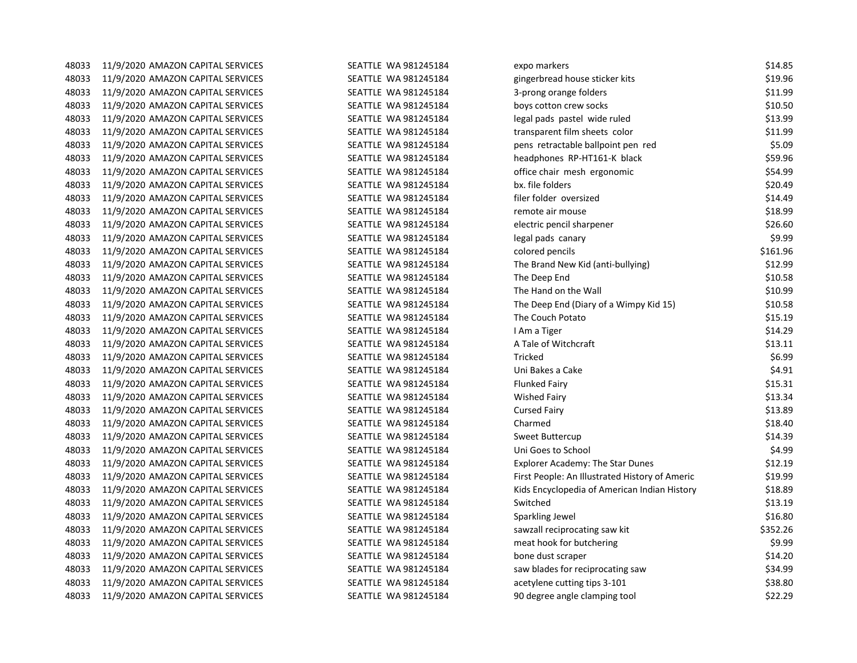| 48033 | 11/9/2020 AMAZON CAPITAL SERVICES | SEATTLE WA 981245184 | expo markers                                   | \$14.85  |
|-------|-----------------------------------|----------------------|------------------------------------------------|----------|
| 48033 | 11/9/2020 AMAZON CAPITAL SERVICES | SEATTLE WA 981245184 | gingerbread house sticker kits                 | \$19.96  |
| 48033 | 11/9/2020 AMAZON CAPITAL SERVICES | SEATTLE WA 981245184 | 3-prong orange folders                         | \$11.99  |
| 48033 | 11/9/2020 AMAZON CAPITAL SERVICES | SEATTLE WA 981245184 | boys cotton crew socks                         | \$10.50  |
| 48033 | 11/9/2020 AMAZON CAPITAL SERVICES | SEATTLE WA 981245184 | legal pads pastel wide ruled                   | \$13.99  |
| 48033 | 11/9/2020 AMAZON CAPITAL SERVICES | SEATTLE WA 981245184 | transparent film sheets color                  | \$11.99  |
| 48033 | 11/9/2020 AMAZON CAPITAL SERVICES | SEATTLE WA 981245184 | pens retractable ballpoint pen red             | \$5.09   |
| 48033 | 11/9/2020 AMAZON CAPITAL SERVICES | SEATTLE WA 981245184 | headphones RP-HT161-K black                    | \$59.96  |
| 48033 | 11/9/2020 AMAZON CAPITAL SERVICES | SEATTLE WA 981245184 | office chair mesh ergonomic                    | \$54.99  |
| 48033 | 11/9/2020 AMAZON CAPITAL SERVICES | SEATTLE WA 981245184 | bx. file folders                               | \$20.49  |
| 48033 | 11/9/2020 AMAZON CAPITAL SERVICES | SEATTLE WA 981245184 | filer folder oversized                         | \$14.49  |
| 48033 | 11/9/2020 AMAZON CAPITAL SERVICES | SEATTLE WA 981245184 | remote air mouse                               | \$18.99  |
| 48033 | 11/9/2020 AMAZON CAPITAL SERVICES | SEATTLE WA 981245184 | electric pencil sharpener                      | \$26.60  |
| 48033 | 11/9/2020 AMAZON CAPITAL SERVICES | SEATTLE WA 981245184 | legal pads canary                              | \$9.99   |
| 48033 | 11/9/2020 AMAZON CAPITAL SERVICES | SEATTLE WA 981245184 | colored pencils                                | \$161.96 |
| 48033 | 11/9/2020 AMAZON CAPITAL SERVICES | SEATTLE WA 981245184 | The Brand New Kid (anti-bullying)              | \$12.99  |
| 48033 | 11/9/2020 AMAZON CAPITAL SERVICES | SEATTLE WA 981245184 | The Deep End                                   | \$10.58  |
| 48033 | 11/9/2020 AMAZON CAPITAL SERVICES | SEATTLE WA 981245184 | The Hand on the Wall                           | \$10.99  |
| 48033 | 11/9/2020 AMAZON CAPITAL SERVICES | SEATTLE WA 981245184 | The Deep End (Diary of a Wimpy Kid 15)         | \$10.58  |
| 48033 | 11/9/2020 AMAZON CAPITAL SERVICES | SEATTLE WA 981245184 | The Couch Potato                               | \$15.19  |
| 48033 | 11/9/2020 AMAZON CAPITAL SERVICES | SEATTLE WA 981245184 | I Am a Tiger                                   | \$14.29  |
| 48033 | 11/9/2020 AMAZON CAPITAL SERVICES | SEATTLE WA 981245184 | A Tale of Witchcraft                           | \$13.11  |
| 48033 | 11/9/2020 AMAZON CAPITAL SERVICES | SEATTLE WA 981245184 | Tricked                                        | \$6.99   |
| 48033 | 11/9/2020 AMAZON CAPITAL SERVICES | SEATTLE WA 981245184 | Uni Bakes a Cake                               | \$4.91   |
| 48033 | 11/9/2020 AMAZON CAPITAL SERVICES | SEATTLE WA 981245184 | <b>Flunked Fairy</b>                           | \$15.31  |
| 48033 | 11/9/2020 AMAZON CAPITAL SERVICES | SEATTLE WA 981245184 | <b>Wished Fairy</b>                            | \$13.34  |
| 48033 | 11/9/2020 AMAZON CAPITAL SERVICES | SEATTLE WA 981245184 | <b>Cursed Fairy</b>                            | \$13.89  |
| 48033 | 11/9/2020 AMAZON CAPITAL SERVICES | SEATTLE WA 981245184 | Charmed                                        | \$18.40  |
| 48033 | 11/9/2020 AMAZON CAPITAL SERVICES | SEATTLE WA 981245184 | Sweet Buttercup                                | \$14.39  |
| 48033 | 11/9/2020 AMAZON CAPITAL SERVICES | SEATTLE WA 981245184 | Uni Goes to School                             | \$4.99   |
| 48033 | 11/9/2020 AMAZON CAPITAL SERVICES | SEATTLE WA 981245184 | Explorer Academy: The Star Dunes               | \$12.19  |
| 48033 | 11/9/2020 AMAZON CAPITAL SERVICES | SEATTLE WA 981245184 | First People: An Illustrated History of Americ | \$19.99  |
| 48033 | 11/9/2020 AMAZON CAPITAL SERVICES | SEATTLE WA 981245184 | Kids Encyclopedia of American Indian History   | \$18.89  |
| 48033 | 11/9/2020 AMAZON CAPITAL SERVICES | SEATTLE WA 981245184 | Switched                                       | \$13.19  |
| 48033 | 11/9/2020 AMAZON CAPITAL SERVICES | SEATTLE WA 981245184 | Sparkling Jewel                                | \$16.80  |
| 48033 | 11/9/2020 AMAZON CAPITAL SERVICES | SEATTLE WA 981245184 | sawzall reciprocating saw kit                  | \$352.26 |
| 48033 | 11/9/2020 AMAZON CAPITAL SERVICES | SEATTLE WA 981245184 | meat hook for butchering                       | \$9.99   |
| 48033 | 11/9/2020 AMAZON CAPITAL SERVICES | SEATTLE WA 981245184 | bone dust scraper                              | \$14.20  |
| 48033 | 11/9/2020 AMAZON CAPITAL SERVICES | SEATTLE WA 981245184 | saw blades for reciprocating saw               | \$34.99  |
| 48033 | 11/9/2020 AMAZON CAPITAL SERVICES | SEATTLE WA 981245184 | acetylene cutting tips 3-101                   | \$38.80  |
| 48033 | 11/9/2020 AMAZON CAPITAL SERVICES | SEATTLE WA 981245184 | 90 degree angle clamping tool                  | \$22.29  |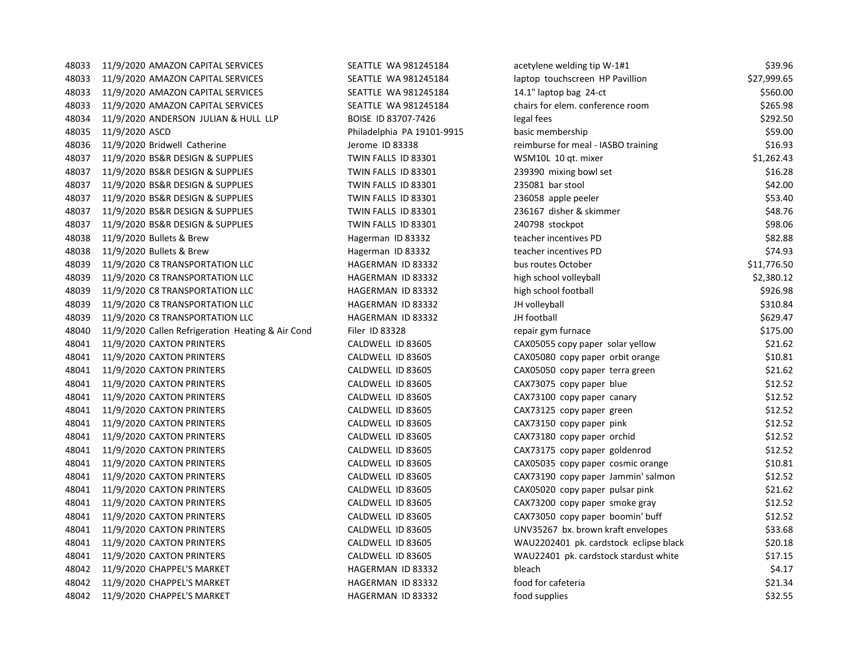| 48033 | 11/9/2020 AMAZON CAPITAL SERVICES                 | SEATTLE WA 981245184       | acetylene welding tip W-1#1            | \$39.96     |
|-------|---------------------------------------------------|----------------------------|----------------------------------------|-------------|
| 48033 | 11/9/2020 AMAZON CAPITAL SERVICES                 | SEATTLE WA 981245184       | laptop touchscreen HP Pavillion        | \$27,999.65 |
| 48033 | 11/9/2020 AMAZON CAPITAL SERVICES                 | SEATTLE WA 981245184       | 14.1" laptop bag 24-ct                 | \$560.00    |
| 48033 | 11/9/2020 AMAZON CAPITAL SERVICES                 | SEATTLE WA 981245184       | chairs for elem. conference room       | \$265.98    |
| 48034 | 11/9/2020 ANDERSON JULIAN & HULL LLP              | BOISE ID 83707-7426        | legal fees                             | \$292.50    |
| 48035 | 11/9/2020 ASCD                                    | Philadelphia PA 19101-9915 | basic membership                       | \$59.00     |
| 48036 | 11/9/2020 Bridwell Catherine                      | Jerome ID 83338            | reimburse for meal - IASBO training    | \$16.93     |
| 48037 | 11/9/2020 BS&R DESIGN & SUPPLIES                  | TWIN FALLS ID 83301        | WSM10L 10 qt. mixer                    | \$1,262.43  |
| 48037 | 11/9/2020 BS&R DESIGN & SUPPLIES                  | TWIN FALLS ID 83301        | 239390 mixing bowl set                 | \$16.28     |
| 48037 | 11/9/2020 BS&R DESIGN & SUPPLIES                  | TWIN FALLS ID 83301        | 235081 bar stool                       | \$42.00     |
| 48037 | 11/9/2020 BS&R DESIGN & SUPPLIES                  | TWIN FALLS ID 83301        | 236058 apple peeler                    | \$53.40     |
| 48037 | 11/9/2020 BS&R DESIGN & SUPPLIES                  | TWIN FALLS ID 83301        | 236167 disher & skimmer                | \$48.76     |
| 48037 | 11/9/2020 BS&R DESIGN & SUPPLIES                  | TWIN FALLS ID 83301        | 240798 stockpot                        | \$98.06     |
| 48038 | 11/9/2020 Bullets & Brew                          | Hagerman ID 83332          | teacher incentives PD                  | \$82.88     |
| 48038 | 11/9/2020 Bullets & Brew                          | Hagerman ID 83332          | teacher incentives PD                  | \$74.93     |
| 48039 | 11/9/2020 C8 TRANSPORTATION LLC                   | HAGERMAN ID 83332          | bus routes October                     | \$11,776.50 |
| 48039 | 11/9/2020 C8 TRANSPORTATION LLC                   | HAGERMAN ID 83332          | high school volleyball                 | \$2,380.12  |
| 48039 | 11/9/2020 C8 TRANSPORTATION LLC                   | HAGERMAN ID 83332          | high school football                   | \$926.98    |
| 48039 | 11/9/2020 C8 TRANSPORTATION LLC                   | HAGERMAN ID 83332          | JH volleyball                          | \$310.84    |
| 48039 | 11/9/2020 C8 TRANSPORTATION LLC                   | HAGERMAN ID 83332          | JH football                            | \$629.47    |
| 48040 | 11/9/2020 Callen Refrigeration Heating & Air Cond | Filer ID 83328             | repair gym furnace                     | \$175.00    |
| 48041 | 11/9/2020 CAXTON PRINTERS                         | CALDWELL ID 83605          | CAX05055 copy paper solar yellow       | \$21.62     |
| 48041 | 11/9/2020 CAXTON PRINTERS                         | CALDWELL ID 83605          | CAX05080 copy paper orbit orange       | \$10.81     |
| 48041 | 11/9/2020 CAXTON PRINTERS                         | CALDWELL ID 83605          | CAX05050 copy paper terra green        | \$21.62     |
| 48041 | 11/9/2020 CAXTON PRINTERS                         | CALDWELL ID 83605          | CAX73075 copy paper blue               | \$12.52     |
| 48041 | 11/9/2020 CAXTON PRINTERS                         | CALDWELL ID 83605          | CAX73100 copy paper canary             | \$12.52     |
| 48041 | 11/9/2020 CAXTON PRINTERS                         | CALDWELL ID 83605          | CAX73125 copy paper green              | \$12.52     |
| 48041 | 11/9/2020 CAXTON PRINTERS                         | CALDWELL ID 83605          | CAX73150 copy paper pink               | \$12.52     |
| 48041 | 11/9/2020 CAXTON PRINTERS                         | CALDWELL ID 83605          | CAX73180 copy paper orchid             | \$12.52     |
| 48041 | 11/9/2020 CAXTON PRINTERS                         | CALDWELL ID 83605          | CAX73175 copy paper goldenrod          | \$12.52     |
| 48041 | 11/9/2020 CAXTON PRINTERS                         | CALDWELL ID 83605          | CAX05035 copy paper cosmic orange      | \$10.81     |
| 48041 | 11/9/2020 CAXTON PRINTERS                         | CALDWELL ID 83605          | CAX73190 copy paper Jammin' salmon     | \$12.52     |
| 48041 | 11/9/2020 CAXTON PRINTERS                         | CALDWELL ID 83605          | CAX05020 copy paper pulsar pink        | \$21.62     |
| 48041 | 11/9/2020 CAXTON PRINTERS                         | CALDWELL ID 83605          | CAX73200 copy paper smoke gray         | \$12.52     |
| 48041 | 11/9/2020 CAXTON PRINTERS                         | CALDWELL ID 83605          | CAX73050 copy paper boomin' buff       | \$12.52     |
| 48041 | 11/9/2020 CAXTON PRINTERS                         | CALDWELL ID 83605          | UNV35267 bx. brown kraft envelopes     | \$33.68     |
| 48041 | 11/9/2020 CAXTON PRINTERS                         | CALDWELL ID 83605          | WAU2202401 pk. cardstock eclipse black | \$20.18     |
| 48041 | 11/9/2020 CAXTON PRINTERS                         | CALDWELL ID 83605          | WAU22401 pk. cardstock stardust white  | \$17.15     |
| 48042 | 11/9/2020 CHAPPEL'S MARKET                        | HAGERMAN ID 83332          | bleach                                 | \$4.17      |
| 48042 | 11/9/2020 CHAPPEL'S MARKET                        | HAGERMAN ID 83332          | food for cafeteria                     | \$21.34     |
| 48042 | 11/9/2020 CHAPPEL'S MARKET                        | HAGERMAN ID 83332          | food supplies                          | \$32.55     |
|       |                                                   |                            |                                        |             |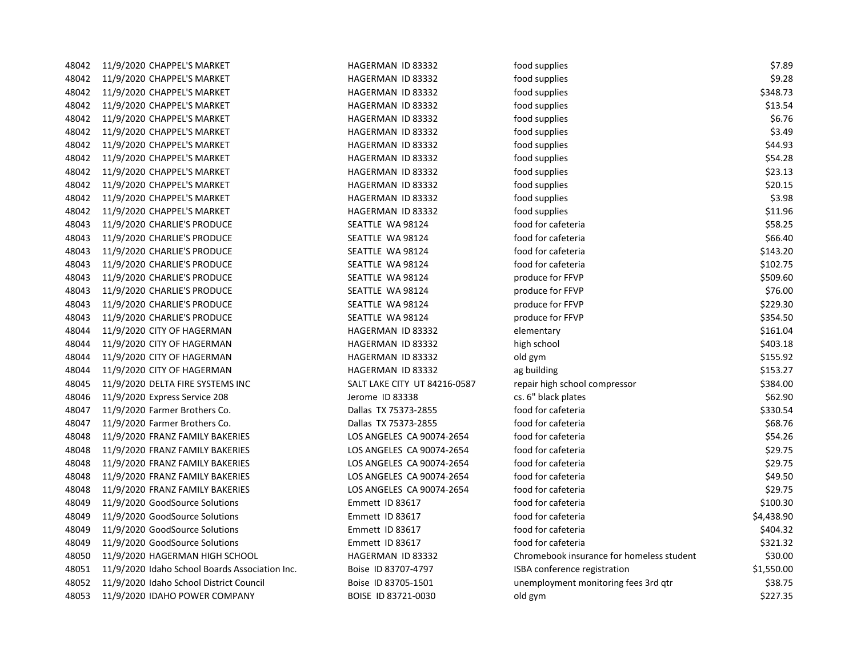| 48042 | 11/9/2020 CHAPPEL'S MARKET                     | HAGERMAN ID 83332            | food supplies                             | \$7.89     |
|-------|------------------------------------------------|------------------------------|-------------------------------------------|------------|
| 48042 | 11/9/2020 CHAPPEL'S MARKET                     | HAGERMAN ID 83332            | food supplies                             | \$9.28     |
| 48042 | 11/9/2020 CHAPPEL'S MARKET                     | HAGERMAN ID 83332            | food supplies                             | \$348.73   |
| 48042 | 11/9/2020 CHAPPEL'S MARKET                     | HAGERMAN ID 83332            | food supplies                             | \$13.54    |
| 48042 | 11/9/2020 CHAPPEL'S MARKET                     | HAGERMAN ID 83332            | food supplies                             | \$6.76     |
| 48042 | 11/9/2020 CHAPPEL'S MARKET                     | HAGERMAN ID 83332            | food supplies                             | \$3.49     |
| 48042 | 11/9/2020 CHAPPEL'S MARKET                     | HAGERMAN ID 83332            | food supplies                             | \$44.93    |
| 48042 | 11/9/2020 CHAPPEL'S MARKET                     | HAGERMAN ID 83332            | food supplies                             | \$54.28    |
| 48042 | 11/9/2020 CHAPPEL'S MARKET                     | HAGERMAN ID 83332            | food supplies                             | \$23.13    |
| 48042 | 11/9/2020 CHAPPEL'S MARKET                     | HAGERMAN ID 83332            | food supplies                             | \$20.15    |
| 48042 | 11/9/2020 CHAPPEL'S MARKET                     | HAGERMAN ID 83332            | food supplies                             | \$3.98     |
| 48042 | 11/9/2020 CHAPPEL'S MARKET                     | HAGERMAN ID 83332            | food supplies                             | \$11.96    |
| 48043 | 11/9/2020 CHARLIE'S PRODUCE                    | SEATTLE WA 98124             | food for cafeteria                        | \$58.25    |
| 48043 | 11/9/2020 CHARLIE'S PRODUCE                    | SEATTLE WA 98124             | food for cafeteria                        | \$66.40    |
| 48043 | 11/9/2020 CHARLIE'S PRODUCE                    | SEATTLE WA 98124             | food for cafeteria                        | \$143.20   |
| 48043 | 11/9/2020 CHARLIE'S PRODUCE                    | SEATTLE WA 98124             | food for cafeteria                        | \$102.75   |
| 48043 | 11/9/2020 CHARLIE'S PRODUCE                    | SEATTLE WA 98124             | produce for FFVP                          | \$509.60   |
| 48043 | 11/9/2020 CHARLIE'S PRODUCE                    | SEATTLE WA 98124             | produce for FFVP                          | \$76.00    |
| 48043 | 11/9/2020 CHARLIE'S PRODUCE                    | SEATTLE WA 98124             | produce for FFVP                          | \$229.30   |
| 48043 | 11/9/2020 CHARLIE'S PRODUCE                    | SEATTLE WA 98124             | produce for FFVP                          | \$354.50   |
| 48044 | 11/9/2020 CITY OF HAGERMAN                     | HAGERMAN ID 83332            | elementary                                | \$161.04   |
| 48044 | 11/9/2020 CITY OF HAGERMAN                     | HAGERMAN ID 83332            | high school                               | \$403.18   |
| 48044 | 11/9/2020 CITY OF HAGERMAN                     | HAGERMAN ID 83332            | old gym                                   | \$155.92   |
| 48044 | 11/9/2020 CITY OF HAGERMAN                     | HAGERMAN ID 83332            | ag building                               | \$153.27   |
| 48045 | 11/9/2020 DELTA FIRE SYSTEMS INC               | SALT LAKE CITY UT 84216-0587 | repair high school compressor             | \$384.00   |
| 48046 | 11/9/2020 Express Service 208                  | Jerome ID 83338              | cs. 6" black plates                       | \$62.90    |
| 48047 | 11/9/2020 Farmer Brothers Co.                  | Dallas TX 75373-2855         | food for cafeteria                        | \$330.54   |
| 48047 | 11/9/2020 Farmer Brothers Co.                  | Dallas TX 75373-2855         | food for cafeteria                        | \$68.76    |
| 48048 | 11/9/2020 FRANZ FAMILY BAKERIES                | LOS ANGELES CA 90074-2654    | food for cafeteria                        | \$54.26    |
| 48048 | 11/9/2020 FRANZ FAMILY BAKERIES                | LOS ANGELES CA 90074-2654    | food for cafeteria                        | \$29.75    |
| 48048 | 11/9/2020 FRANZ FAMILY BAKERIES                | LOS ANGELES CA 90074-2654    | food for cafeteria                        | \$29.75    |
| 48048 | 11/9/2020 FRANZ FAMILY BAKERIES                | LOS ANGELES CA 90074-2654    | food for cafeteria                        | \$49.50    |
| 48048 | 11/9/2020 FRANZ FAMILY BAKERIES                | LOS ANGELES CA 90074-2654    | food for cafeteria                        | \$29.75    |
| 48049 | 11/9/2020 GoodSource Solutions                 | Emmett ID 83617              | food for cafeteria                        | \$100.30   |
| 48049 | 11/9/2020 GoodSource Solutions                 | Emmett ID 83617              | food for cafeteria                        | \$4,438.90 |
| 48049 | 11/9/2020 GoodSource Solutions                 | Emmett ID 83617              | food for cafeteria                        | \$404.32   |
| 48049 | 11/9/2020 GoodSource Solutions                 | Emmett ID 83617              | food for cafeteria                        | \$321.32   |
| 48050 | 11/9/2020 HAGERMAN HIGH SCHOOL                 | HAGERMAN ID 83332            | Chromebook insurance for homeless student | \$30.00    |
| 48051 | 11/9/2020 Idaho School Boards Association Inc. | Boise ID 83707-4797          | ISBA conference registration              | \$1,550.00 |
| 48052 | 11/9/2020 Idaho School District Council        | Boise ID 83705-1501          | unemployment monitoring fees 3rd qtr      | \$38.75    |
| 48053 | 11/9/2020 IDAHO POWER COMPANY                  | BOISE ID 83721-0030          | old gym                                   | \$227.35   |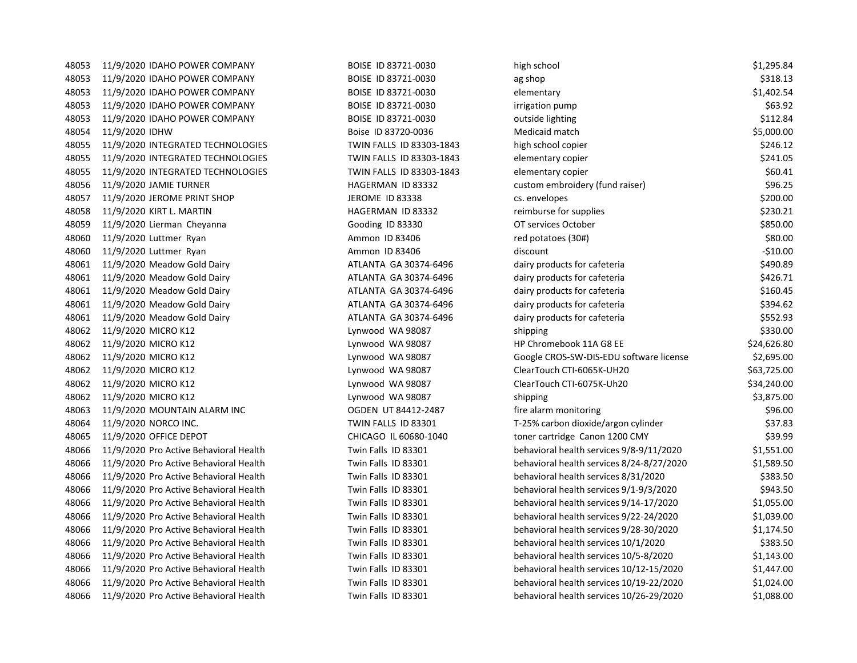| 48053 | 11/9/2020 IDAHO POWER COMPANY          | BOISE ID 83721-0030      | high school                               | \$1,295.84  |
|-------|----------------------------------------|--------------------------|-------------------------------------------|-------------|
| 48053 | 11/9/2020 IDAHO POWER COMPANY          | BOISE ID 83721-0030      | ag shop                                   | \$318.13    |
| 48053 | 11/9/2020 IDAHO POWER COMPANY          | BOISE ID 83721-0030      | elementary                                | \$1,402.54  |
| 48053 | 11/9/2020 IDAHO POWER COMPANY          | BOISE ID 83721-0030      | irrigation pump                           | \$63.92     |
| 48053 | 11/9/2020 IDAHO POWER COMPANY          | BOISE ID 83721-0030      | outside lighting                          | \$112.84    |
| 48054 | 11/9/2020 IDHW                         | Boise ID 83720-0036      | Medicaid match                            | \$5,000.00  |
| 48055 | 11/9/2020 INTEGRATED TECHNOLOGIES      | TWIN FALLS ID 83303-1843 | high school copier                        | \$246.12    |
| 48055 | 11/9/2020 INTEGRATED TECHNOLOGIES      | TWIN FALLS ID 83303-1843 | elementary copier                         | \$241.05    |
| 48055 | 11/9/2020 INTEGRATED TECHNOLOGIES      | TWIN FALLS ID 83303-1843 | elementary copier                         | \$60.41     |
| 48056 | 11/9/2020 JAMIE TURNER                 | HAGERMAN ID 83332        | custom embroidery (fund raiser)           | \$96.25     |
| 48057 | 11/9/2020 JEROME PRINT SHOP            | <b>JEROME ID 83338</b>   | cs. envelopes                             | \$200.00    |
| 48058 | 11/9/2020 KIRT L. MARTIN               | HAGERMAN ID 83332        | reimburse for supplies                    | \$230.21    |
| 48059 | 11/9/2020 Lierman Cheyanna             | Gooding ID 83330         | OT services October                       | \$850.00    |
| 48060 | 11/9/2020 Luttmer Ryan                 | Ammon ID 83406           | red potatoes (30#)                        | \$80.00     |
| 48060 | 11/9/2020 Luttmer Ryan                 | Ammon ID 83406           | discount                                  | $-$10.00$   |
| 48061 | 11/9/2020 Meadow Gold Dairy            | ATLANTA GA 30374-6496    | dairy products for cafeteria              | \$490.89    |
| 48061 | 11/9/2020 Meadow Gold Dairy            | ATLANTA GA 30374-6496    | dairy products for cafeteria              | \$426.71    |
| 48061 | 11/9/2020 Meadow Gold Dairy            | ATLANTA GA 30374-6496    | dairy products for cafeteria              | \$160.45    |
| 48061 | 11/9/2020 Meadow Gold Dairy            | ATLANTA GA 30374-6496    | dairy products for cafeteria              | \$394.62    |
| 48061 | 11/9/2020 Meadow Gold Dairy            | ATLANTA GA 30374-6496    | dairy products for cafeteria              | \$552.93    |
| 48062 | 11/9/2020 MICRO K12                    | Lynwood WA 98087         | shipping                                  | \$330.00    |
| 48062 | 11/9/2020 MICRO K12                    | Lynwood WA 98087         | HP Chromebook 11A G8 EE                   | \$24,626.80 |
| 48062 | 11/9/2020 MICRO K12                    | Lynwood WA 98087         | Google CROS-SW-DIS-EDU software license   | \$2,695.00  |
| 48062 | 11/9/2020 MICRO K12                    | Lynwood WA 98087         | ClearTouch CTI-6065K-UH20                 | \$63,725.00 |
| 48062 | 11/9/2020 MICRO K12                    | Lynwood WA 98087         | ClearTouch CTI-6075K-Uh20                 | \$34,240.00 |
| 48062 | 11/9/2020 MICRO K12                    | Lynwood WA 98087         | shipping                                  | \$3,875.00  |
| 48063 | 11/9/2020 MOUNTAIN ALARM INC           | OGDEN UT 84412-2487      | fire alarm monitoring                     | \$96.00     |
| 48064 | 11/9/2020 NORCO INC.                   | TWIN FALLS ID 83301      | T-25% carbon dioxide/argon cylinder       | \$37.83     |
| 48065 | 11/9/2020 OFFICE DEPOT                 | CHICAGO IL 60680-1040    | toner cartridge Canon 1200 CMY            | \$39.99     |
| 48066 | 11/9/2020 Pro Active Behavioral Health | Twin Falls ID 83301      | behavioral health services 9/8-9/11/2020  | \$1,551.00  |
| 48066 | 11/9/2020 Pro Active Behavioral Health | Twin Falls ID 83301      | behavioral health services 8/24-8/27/2020 | \$1,589.50  |
| 48066 | 11/9/2020 Pro Active Behavioral Health | Twin Falls ID 83301      | behavioral health services 8/31/2020      | \$383.50    |
| 48066 | 11/9/2020 Pro Active Behavioral Health | Twin Falls ID 83301      | behavioral health services 9/1-9/3/2020   | \$943.50    |
| 48066 | 11/9/2020 Pro Active Behavioral Health | Twin Falls ID 83301      | behavioral health services 9/14-17/2020   | \$1,055.00  |
| 48066 | 11/9/2020 Pro Active Behavioral Health | Twin Falls ID 83301      | behavioral health services 9/22-24/2020   | \$1,039.00  |
| 48066 | 11/9/2020 Pro Active Behavioral Health | Twin Falls ID 83301      | behavioral health services 9/28-30/2020   | \$1,174.50  |
| 48066 | 11/9/2020 Pro Active Behavioral Health | Twin Falls ID 83301      | behavioral health services 10/1/2020      | \$383.50    |
| 48066 | 11/9/2020 Pro Active Behavioral Health | Twin Falls ID 83301      | behavioral health services 10/5-8/2020    | \$1,143.00  |
| 48066 | 11/9/2020 Pro Active Behavioral Health | Twin Falls ID 83301      | behavioral health services 10/12-15/2020  | \$1,447.00  |
| 48066 | 11/9/2020 Pro Active Behavioral Health | Twin Falls ID 83301      | behavioral health services 10/19-22/2020  | \$1,024.00  |
| 48066 | 11/9/2020 Pro Active Behavioral Health | Twin Falls ID 83301      | behavioral health services 10/26-29/2020  | \$1,088.00  |
|       |                                        |                          |                                           |             |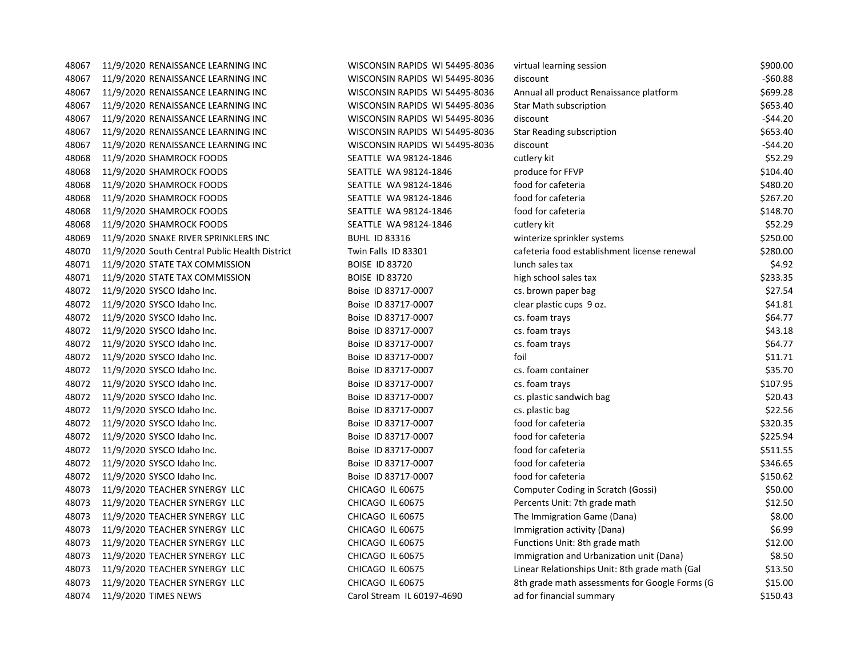| 48067  | 11/9/2020 RENAISSANCE LEARNING INC                                                                              |
|--------|-----------------------------------------------------------------------------------------------------------------|
| 48067  | 11/9/2020 RENAISSANCE LEARNING INC                                                                              |
| 48067  | 11/9/2020 RENAISSANCE LEARNING INC                                                                              |
| 48067  | 11/9/2020 RENAISSANCE LEARNING INC                                                                              |
| 48067  | 11/9/2020 RENAISSANCE LEARNING INC                                                                              |
| 48067  | 11/9/2020 RENAISSANCE LEARNING INC                                                                              |
| 48067  | 11/9/2020 RENAISSANCE LEARNING INC                                                                              |
| 48068  | 11/9/2020 SHAMROCK FOODS                                                                                        |
| 48068  | 11/9/2020 SHAMROCK FOODS                                                                                        |
| 48068  | 11/9/2020 SHAMROCK FOODS                                                                                        |
| 48068  | 11/9/2020 SHAMROCK FOODS                                                                                        |
| 48068  | 11/9/2020 SHAMROCK FOODS                                                                                        |
| 48068  | 11/9/2020 SHAMROCK FOODS                                                                                        |
| 48069  | 11/9/2020 SNAKE RIVER SPRINKLERS INC                                                                            |
| 48070  | 11/9/2020 South Central Public Health Di                                                                        |
| 48071  | 11/9/2020 STATE TAX COMMISSION                                                                                  |
| 48071  | 11/9/2020 STATE TAX COMMISSION                                                                                  |
| 48072  | 11/9/2020 SYSCO Idaho Inc.                                                                                      |
| 48072  | 11/9/2020 SYSCO Idaho Inc.                                                                                      |
| 48072  | 11/9/2020 SYSCO Idaho Inc.                                                                                      |
| 48072  | 11/9/2020 SYSCO Idaho Inc.                                                                                      |
| 48072  | 11/9/2020 SYSCO Idaho Inc.                                                                                      |
| 48072  | 11/9/2020 SYSCO Idaho Inc.                                                                                      |
| 48072  | 11/9/2020 SYSCO Idaho Inc.                                                                                      |
| 48072  | 11/9/2020 SYSCO Idaho Inc.                                                                                      |
| 48072  | 11/9/2020 SYSCO Idaho Inc.                                                                                      |
| 48072  | 11/9/2020 SYSCO Idaho Inc.                                                                                      |
| 48072  | 11/9/2020 SYSCO Idaho Inc.                                                                                      |
| 48072  | 11/9/2020 SYSCO Idaho Inc.                                                                                      |
| 48072  | 11/9/2020 SYSCO Idaho Inc.                                                                                      |
| 48072  | 11/9/2020 SYSCO Idaho Inc.                                                                                      |
| 48072  | 11/9/2020 SYSCO Idaho Inc.                                                                                      |
| 48073  | 11/9/2020 TEACHER SYNERGY LLC                                                                                   |
| 48073  | 11/9/2020 TEACHER SYNERGY<br>LLC                                                                                |
| 48073  | 11/9/2020 TEACHER SYNERGY LLC                                                                                   |
| 48073  | 11/9/2020 TEACHER SYNERGY LLC                                                                                   |
| 48073  | 11/9/2020 TEACHER SYNERGY LLC                                                                                   |
| 48073  | 11/9/2020 TEACHER SYNERGY LLC                                                                                   |
| 48073  | 11/9/2020 TEACHER SYNERGY LLC                                                                                   |
| 48073  | 11/9/2020 TEACHER SYNERGY LLC                                                                                   |
| 0.0071 | $\overline{AB}$ $\overline{BA}$ $\overline{BA}$ $\overline{BA}$ $\overline{BA}$ $\overline{BC}$ $\overline{AB}$ |

| 48067 | 11/9/2020 RENAISSANCE LEARNING INC             | WISCONSIN RAPIDS WI 54495-8036 | virtual learning session                       | \$900.00    |
|-------|------------------------------------------------|--------------------------------|------------------------------------------------|-------------|
| 48067 | 11/9/2020 RENAISSANCE LEARNING INC             | WISCONSIN RAPIDS WI 54495-8036 | discount                                       | -\$60.88    |
| 48067 | 11/9/2020 RENAISSANCE LEARNING INC             | WISCONSIN RAPIDS WI 54495-8036 | Annual all product Renaissance platform        | \$699.28    |
| 48067 | 11/9/2020 RENAISSANCE LEARNING INC             | WISCONSIN RAPIDS WI 54495-8036 | <b>Star Math subscription</b>                  | \$653.40    |
| 48067 | 11/9/2020 RENAISSANCE LEARNING INC             | WISCONSIN RAPIDS WI 54495-8036 | discount                                       | $-$ \$44.20 |
| 48067 | 11/9/2020 RENAISSANCE LEARNING INC             | WISCONSIN RAPIDS WI 54495-8036 | <b>Star Reading subscription</b>               | \$653.40    |
| 48067 | 11/9/2020 RENAISSANCE LEARNING INC             | WISCONSIN RAPIDS WI 54495-8036 | discount                                       | $-544.20$   |
| 48068 | 11/9/2020 SHAMROCK FOODS                       | SEATTLE WA 98124-1846          | cutlery kit                                    | \$52.29     |
| 48068 | 11/9/2020 SHAMROCK FOODS                       | SEATTLE WA 98124-1846          | produce for FFVP                               | \$104.40    |
| 48068 | 11/9/2020 SHAMROCK FOODS                       | SEATTLE WA 98124-1846          | food for cafeteria                             | \$480.20    |
| 48068 | 11/9/2020 SHAMROCK FOODS                       | SEATTLE WA 98124-1846          | food for cafeteria                             | \$267.20    |
| 48068 | 11/9/2020 SHAMROCK FOODS                       | SEATTLE WA 98124-1846          | food for cafeteria                             | \$148.70    |
| 48068 | 11/9/2020 SHAMROCK FOODS                       | SEATTLE WA 98124-1846          | cutlery kit                                    | \$52.29     |
| 48069 | 11/9/2020 SNAKE RIVER SPRINKLERS INC           | <b>BUHL ID 83316</b>           | winterize sprinkler systems                    | \$250.00    |
| 48070 | 11/9/2020 South Central Public Health District | Twin Falls ID 83301            | cafeteria food establishment license renewal   | \$280.00    |
| 48071 | 11/9/2020 STATE TAX COMMISSION                 | <b>BOISE ID 83720</b>          | lunch sales tax                                | \$4.92      |
| 48071 | 11/9/2020 STATE TAX COMMISSION                 | <b>BOISE ID 83720</b>          | high school sales tax                          | \$233.35    |
| 48072 | 11/9/2020 SYSCO Idaho Inc.                     | Boise ID 83717-0007            | cs. brown paper bag                            | \$27.54     |
| 48072 | 11/9/2020 SYSCO Idaho Inc.                     | Boise ID 83717-0007            | clear plastic cups 9 oz.                       | \$41.81     |
| 48072 | 11/9/2020 SYSCO Idaho Inc.                     | Boise ID 83717-0007            | cs. foam trays                                 | \$64.77     |
| 48072 | 11/9/2020 SYSCO Idaho Inc.                     | Boise ID 83717-0007            | cs. foam trays                                 | \$43.18     |
| 48072 | 11/9/2020 SYSCO Idaho Inc.                     | Boise ID 83717-0007            | cs. foam trays                                 | \$64.77     |
|       | 48072 11/9/2020 SYSCO Idaho Inc.               | Boise ID 83717-0007            | foil                                           | \$11.71     |
| 48072 | 11/9/2020 SYSCO Idaho Inc.                     | Boise ID 83717-0007            | cs. foam container                             | \$35.70     |
| 48072 | 11/9/2020 SYSCO Idaho Inc.                     | Boise ID 83717-0007            | cs. foam trays                                 | \$107.95    |
| 48072 | 11/9/2020 SYSCO Idaho Inc.                     | Boise ID 83717-0007            | cs. plastic sandwich bag                       | \$20.43     |
| 48072 | 11/9/2020 SYSCO Idaho Inc.                     | Boise ID 83717-0007            | cs. plastic bag                                | \$22.56     |
| 48072 | 11/9/2020 SYSCO Idaho Inc.                     | Boise ID 83717-0007            | food for cafeteria                             | \$320.35    |
|       | 48072 11/9/2020 SYSCO Idaho Inc.               | Boise ID 83717-0007            | food for cafeteria                             | \$225.94    |
| 48072 | 11/9/2020 SYSCO Idaho Inc.                     | Boise ID 83717-0007            | food for cafeteria                             | \$511.55    |
| 48072 | 11/9/2020 SYSCO Idaho Inc.                     | Boise ID 83717-0007            | food for cafeteria                             | \$346.65    |
| 48072 | 11/9/2020 SYSCO Idaho Inc.                     | Boise ID 83717-0007            | food for cafeteria                             | \$150.62    |
| 48073 | 11/9/2020 TEACHER SYNERGY LLC                  | CHICAGO IL 60675               | Computer Coding in Scratch (Gossi)             | \$50.00     |
| 48073 | 11/9/2020 TEACHER SYNERGY LLC                  | CHICAGO IL 60675               | Percents Unit: 7th grade math                  | \$12.50     |
| 48073 | 11/9/2020 TEACHER SYNERGY LLC                  | CHICAGO IL 60675               | The Immigration Game (Dana)                    | \$8.00      |
| 48073 | 11/9/2020 TEACHER SYNERGY LLC                  | CHICAGO IL 60675               | Immigration activity (Dana)                    | \$6.99      |
| 48073 | 11/9/2020 TEACHER SYNERGY LLC                  | CHICAGO IL 60675               | Functions Unit: 8th grade math                 | \$12.00     |
| 48073 | 11/9/2020 TEACHER SYNERGY LLC                  | CHICAGO IL 60675               | Immigration and Urbanization unit (Dana)       | \$8.50      |
| 48073 | 11/9/2020 TEACHER SYNERGY LLC                  | CHICAGO IL 60675               | Linear Relationships Unit: 8th grade math (Gal | \$13.50     |
| 48073 | 11/9/2020 TEACHER SYNERGY LLC                  | CHICAGO IL 60675               | 8th grade math assessments for Google Forms (G | \$15.00     |
| 48074 | 11/9/2020 TIMES NEWS                           | Carol Stream IL 60197-4690     | ad for financial summary                       | \$150.43    |
|       |                                                |                                |                                                |             |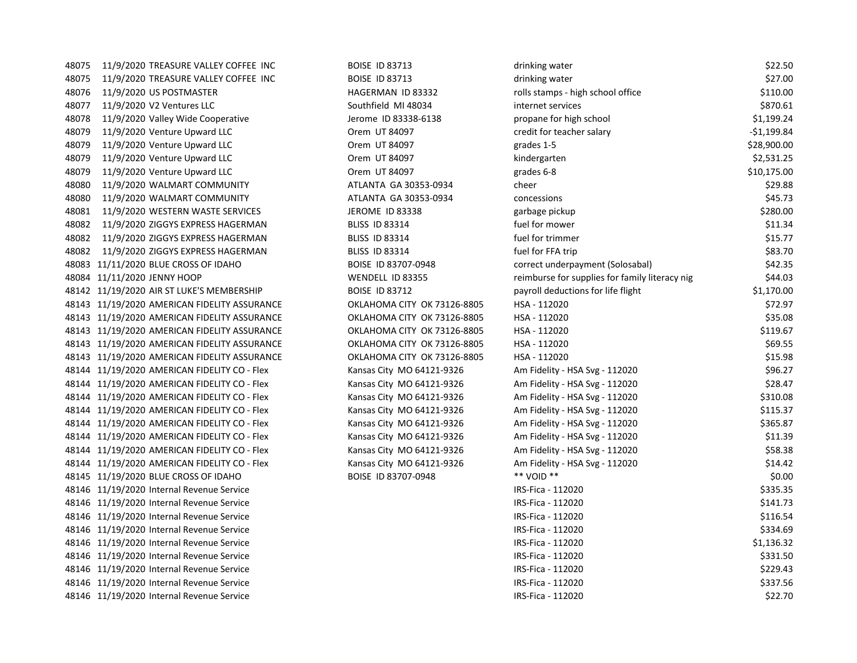48075 11/9/2020 TREASURE VALLEY COFFEE INC BOISE ID 83713 48075 11/9/2020 TREASURE VALLEY COFFEE INC BOISE ID 83713 48076 11/9/2020 US POSTMASTER HAGERMAN ID 83332 rolls stamps - high school office \$110.00 48077 11/9/2020 V2 Ventures LLC Southfield MI 48034 internet services in 48078 11/9/2020 Valley Wide Cooperative Jerome ID 83338-6138 48079 11/9/2020 Venture Upward LLC CREDIT COREM UT 84097 crem UT 84097 48079 11/9/2020 Venture Upward LLC **CORON CORON CORON UT 84097** grades 1-5 \$28,900.000.000.000.000.0000.0000.000 48079 11/9/2020 Venture Upward LLC **CORON CORON CORON UT 84097** kindergarten & 2,531.2531.2531.2531.2531.2531.25 48079 11/9/2020 Venture Upward LLC **CORON CORON CORON UT 84097** grades 6-8 and 11/9/2020 Venture Upward LLC 48080 11/9/2020 WALMART COMMUNITY ATLANTA GA 30353-0934 cheer at 29.888 48080 11/9/2020 WALMART COMMUNITY ATLANTA GA 30353-0934 com 48081 11/9/2020 WESTERN WASTE SERVICES JEROME ID 83338 48082 11/9/2020 ZIGGYS EXPRESS HAGERMAN BLISS ID 83314 48082 11/9/2020 ZIGGYS EXPRESS HAGERMAN BLISS ID 83314 48082 11/9/2020 ZIGGYS EXPRESS HAGERMAN BLISS ID 83314 48083 11/11/2020 BLUE CROSS OF IDAHO BOISE ID 83707-0948 correct under the correct under correct under the correct under the correct under the correct under the correct under the correct under the correct under the correct 48084 11/11/2020 JENNY HOOP WENDELL ID 83355 reimburse for supplies for family literacy nights for family literacy nights for family literacy nights for family literacy nights for family literacy nights for family literacy 48142 11/19/2020 AIR ST LUKE'S MEMBERSHIP BOISE ID 83712 48143 11/19/2020 AMERICAN FIDELITY ASSURANCE **OKLAHOMA CITY OK 73126-8805** 48143 11/19/2020 AMERICAN FIDELITY ASSURANCE OKLAHOMA CITY OK 73126-8805 + 1 48143 11/19/2020 AMERICAN FIDELITY ASSURANCE OKLAHOMA CITY OK 73126-8805 - 1 48143 11/19/2020 AMERICAN FIDELITY ASSURANCE **OKLAHOMA CITY OK 73126-8805** 48143 11/19/2020 AMERICAN FIDELITY ASSURANCE OKLAHOMA CITY OK 73126-8805 - 1 48144 11/19/2020 AMERICAN FIDELITY CO - Flex Kansas City MO 64121-9326 Am Fidelity - Am Figure - 112020 \$96.27 48144 11/19/2020 AMERICAN FIDELITY CO - Flex Kansas City MO 64121-9326 Am Fidelity - Am Figure - 112020 40.477 48144 11/19/2020 AMERICAN FIDELITY CO - Flex Kansas City MO 64121-9326 Am Fidelity - Am Figure - 1120 48144 11/19/2020 AMERICAN FIDELITY CO - Flex Kansas City MO 64121-9326 Am Fidelity - Am Figure - 112020 \$115.37 48144 11/19/2020 AMERICAN FIDELITY CO - Flex Kansas City MO 64121-9326 Am Fidelity - Am Figure - 1120 48144 11/19/2020 AMERICAN FIDELITY CO - Flex Kansas City MO 64121-9326 Am Fidelity - Am Figure - 112020 + 1120 48144 11/19/2020 AMERICAN FIDELITY CO - Flex Kansas City MO 64121-9326 Am Fidelity - Am Figure - 112020 \$58.38 48144 11/19/2020 AMERICAN FIDELITY CO - Flex Kansas City MO 64121-9326 Am Fig. 2010 48145 11/19/2020 BLUE CROSS OF IDAHO BOISE ID 83707-0948 48146 11/19/2020 Internal Revenue Service 48146 11/19/2020 Internal Revenue Service 48146 11/19/2020 Internal Revenue Service 48146 11/19/2020 Internal Revenue Service 48146 11/19/2020 Internal Revenue Service 48146 11/19/2020 Internal Revenue Service 48146 11/19/2020 Internal Revenue Service 48146 11/19/2020 Internal Revenue Service 48146 11/19/2020 Internal Revenue Service

| Irinking water                                | \$22.50     |
|-----------------------------------------------|-------------|
| Irinking water                                | \$27.00     |
| olls stamps - high school office              | \$110.00    |
| nternet services                              | \$870.61    |
| ropane for high school                        | \$1,199.24  |
| redit for teacher salary                      | -\$1,199.84 |
| rades 1-5                                     | \$28,900.00 |
| indergarten                                   | \$2,531.25  |
| rades 6-8                                     | \$10,175.00 |
| heer                                          | \$29.88     |
| oncessions                                    | \$45.73     |
| arbage pickup;                                | \$280.00    |
| uel for mower                                 | \$11.34     |
| uel for trimmer                               | \$15.77     |
| uel for FFA trip                              | \$83.70     |
| orrect underpayment (Solosabal)               | \$42.35     |
| eimburse for supplies for family literacy nig | \$44.03     |
| ayroll deductions for life flight             | \$1,170.00  |
| ISA - 112020                                  | \$72.97     |
| ISA - 112020                                  | \$35.08     |
| ISA - 112020                                  | \$119.67    |
| ISA - 112020                                  | \$69.55     |
| ISA - 112020                                  | \$15.98     |
| m Fidelity - HSA Svg - 112020                 | \$96.27     |
| m Fidelity - HSA Svg - 112020                 | \$28.47     |
| m Fidelity - HSA Svg - 112020                 | \$310.08    |
| m Fidelity - HSA Svg - 112020                 | \$115.37    |
| m Fidelity - HSA Svg - 112020                 | \$365.87    |
| m Fidelity - HSA Svg - 112020                 | \$11.39     |
| m Fidelity - HSA Svg - 112020                 | \$58.38     |
| m Fidelity - HSA Svg - 112020                 | \$14.42     |
| * VOID **                                     | \$0.00      |
| RS-Fica - 112020                              | \$335.35    |
| RS-Fica - 112020                              | \$141.73    |
| RS-Fica - 112020                              | \$116.54    |
| RS-Fica - 112020                              | \$334.69    |
| RS-Fica - 112020                              | \$1,136.32  |
| RS-Fica - 112020                              | \$331.50    |
| RS-Fica - 112020                              | \$229.43    |
| RS-Fica - 112020                              | \$337.56    |
| RS-Fica - 112020                              | \$22.70     |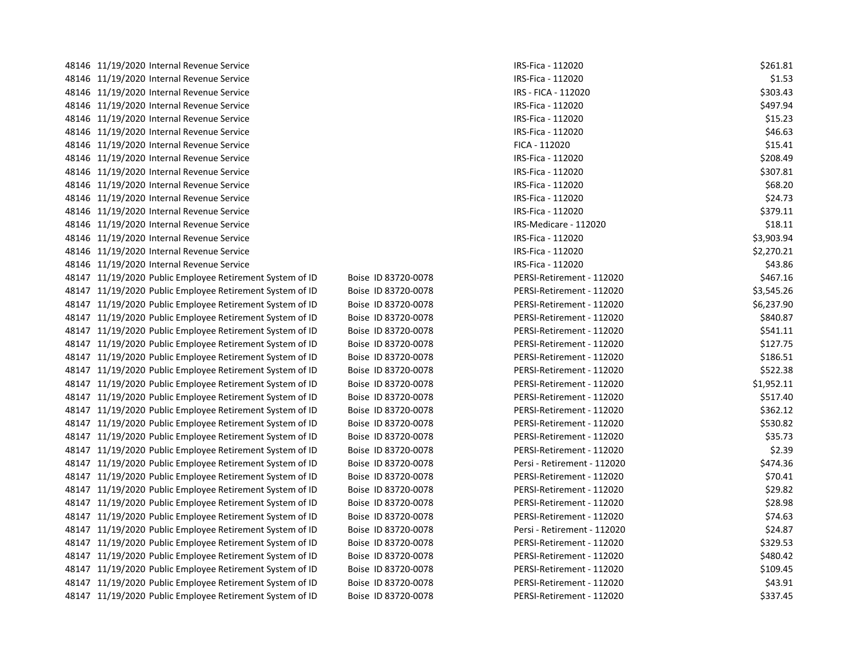| 48146 11/19/2020 Internal Revenue Service                |                     | IRS-Fica - 112020           | \$261.81   |
|----------------------------------------------------------|---------------------|-----------------------------|------------|
| 48146 11/19/2020 Internal Revenue Service                |                     | IRS-Fica - 112020           | \$1.53     |
| 48146 11/19/2020 Internal Revenue Service                |                     | IRS - FICA - 112020         | \$303.43   |
| 48146 11/19/2020 Internal Revenue Service                |                     | IRS-Fica - 112020           | \$497.94   |
| 48146 11/19/2020 Internal Revenue Service                |                     | IRS-Fica - 112020           | \$15.23    |
| 48146 11/19/2020 Internal Revenue Service                |                     | IRS-Fica - 112020           | \$46.63    |
| 48146 11/19/2020 Internal Revenue Service                |                     | FICA - 112020               | \$15.41    |
| 48146 11/19/2020 Internal Revenue Service                |                     | IRS-Fica - 112020           | \$208.49   |
| 48146 11/19/2020 Internal Revenue Service                |                     | IRS-Fica - 112020           | \$307.81   |
| 48146 11/19/2020 Internal Revenue Service                |                     | IRS-Fica - 112020           | \$68.20    |
| 48146 11/19/2020 Internal Revenue Service                |                     | IRS-Fica - 112020           | \$24.73    |
| 48146 11/19/2020 Internal Revenue Service                |                     | IRS-Fica - 112020           | \$379.11   |
| 48146 11/19/2020 Internal Revenue Service                |                     | IRS-Medicare - 112020       | \$18.11    |
| 48146 11/19/2020 Internal Revenue Service                |                     | IRS-Fica - 112020           | \$3,903.94 |
| 48146 11/19/2020 Internal Revenue Service                |                     | IRS-Fica - 112020           | \$2,270.21 |
| 48146 11/19/2020 Internal Revenue Service                |                     | IRS-Fica - 112020           | \$43.86    |
| 48147 11/19/2020 Public Employee Retirement System of ID | Boise ID 83720-0078 | PERSI-Retirement - 112020   | \$467.16   |
| 48147 11/19/2020 Public Employee Retirement System of ID | Boise ID 83720-0078 | PERSI-Retirement - 112020   | \$3,545.26 |
| 48147 11/19/2020 Public Employee Retirement System of ID | Boise ID 83720-0078 | PERSI-Retirement - 112020   | \$6,237.90 |
| 48147 11/19/2020 Public Employee Retirement System of ID | Boise ID 83720-0078 | PERSI-Retirement - 112020   | \$840.87   |
| 48147 11/19/2020 Public Employee Retirement System of ID | Boise ID 83720-0078 | PERSI-Retirement - 112020   | \$541.11   |
| 48147 11/19/2020 Public Employee Retirement System of ID | Boise ID 83720-0078 | PERSI-Retirement - 112020   | \$127.75   |
| 48147 11/19/2020 Public Employee Retirement System of ID | Boise ID 83720-0078 | PERSI-Retirement - 112020   | \$186.51   |
| 48147 11/19/2020 Public Employee Retirement System of ID | Boise ID 83720-0078 | PERSI-Retirement - 112020   | \$522.38   |
| 48147 11/19/2020 Public Employee Retirement System of ID | Boise ID 83720-0078 | PERSI-Retirement - 112020   | \$1,952.11 |
| 48147 11/19/2020 Public Employee Retirement System of ID | Boise ID 83720-0078 | PERSI-Retirement - 112020   | \$517.40   |
| 48147 11/19/2020 Public Employee Retirement System of ID | Boise ID 83720-0078 | PERSI-Retirement - 112020   | \$362.12   |
| 48147 11/19/2020 Public Employee Retirement System of ID | Boise ID 83720-0078 | PERSI-Retirement - 112020   | \$530.82   |
| 48147 11/19/2020 Public Employee Retirement System of ID | Boise ID 83720-0078 | PERSI-Retirement - 112020   | \$35.73    |
| 48147 11/19/2020 Public Employee Retirement System of ID | Boise ID 83720-0078 | PERSI-Retirement - 112020   | \$2.39     |
| 48147 11/19/2020 Public Employee Retirement System of ID | Boise ID 83720-0078 | Persi - Retirement - 112020 | \$474.36   |
| 48147 11/19/2020 Public Employee Retirement System of ID | Boise ID 83720-0078 | PERSI-Retirement - 112020   | \$70.41    |
| 48147 11/19/2020 Public Employee Retirement System of ID | Boise ID 83720-0078 | PERSI-Retirement - 112020   | \$29.82    |
| 48147 11/19/2020 Public Employee Retirement System of ID | Boise ID 83720-0078 | PERSI-Retirement - 112020   | \$28.98    |
| 48147 11/19/2020 Public Employee Retirement System of ID | Boise ID 83720-0078 | PERSI-Retirement - 112020   | \$74.63    |
| 48147 11/19/2020 Public Employee Retirement System of ID | Boise ID 83720-0078 | Persi - Retirement - 112020 | \$24.87    |
| 48147 11/19/2020 Public Employee Retirement System of ID | Boise ID 83720-0078 | PERSI-Retirement - 112020   | \$329.53   |
| 48147 11/19/2020 Public Employee Retirement System of ID | Boise ID 83720-0078 | PERSI-Retirement - 112020   | \$480.42   |
| 48147 11/19/2020 Public Employee Retirement System of ID | Boise ID 83720-0078 | PERSI-Retirement - 112020   | \$109.45   |
| 48147 11/19/2020 Public Employee Retirement System of ID | Boise ID 83720-0078 | PERSI-Retirement - 112020   | \$43.91    |
| 48147 11/19/2020 Public Employee Retirement System of ID | Boise ID 83720-0078 | PERSI-Retirement - 112020   | \$337.45   |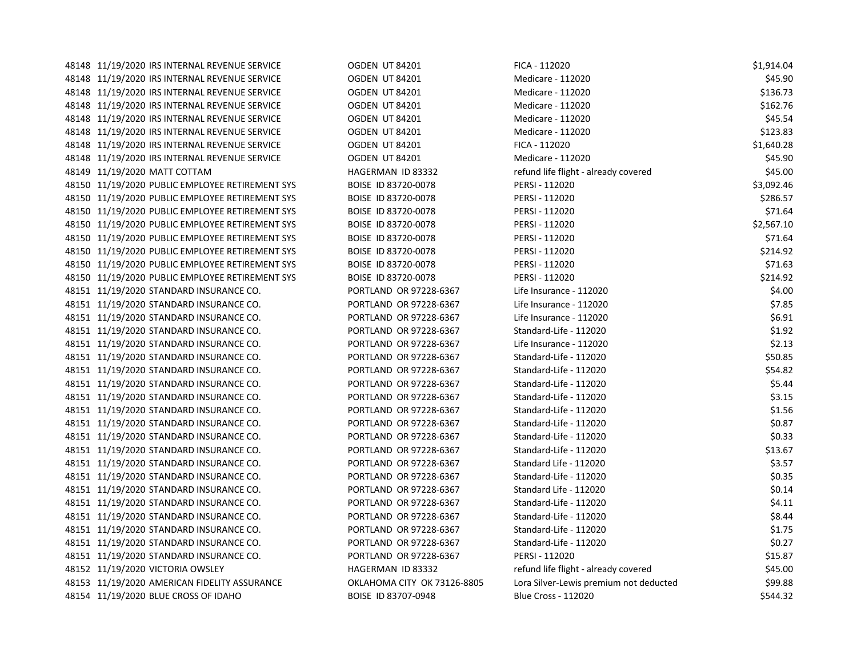| 48148 11/19/2020 IRS INTERNAL REVENUE SERVICE   | <b>OGDEN UT 84201</b>       | FICA - 112020                          | \$1,914.04 |
|-------------------------------------------------|-----------------------------|----------------------------------------|------------|
| 48148 11/19/2020 IRS INTERNAL REVENUE SERVICE   | <b>OGDEN UT 84201</b>       | Medicare - 112020                      | \$45.90    |
| 48148 11/19/2020 IRS INTERNAL REVENUE SERVICE   | <b>OGDEN UT 84201</b>       | Medicare - 112020                      | \$136.73   |
| 48148 11/19/2020 IRS INTERNAL REVENUE SERVICE   | <b>OGDEN UT 84201</b>       | Medicare - 112020                      | \$162.76   |
| 48148 11/19/2020 IRS INTERNAL REVENUE SERVICE   | <b>OGDEN UT 84201</b>       | Medicare - 112020                      | \$45.54    |
| 48148 11/19/2020 IRS INTERNAL REVENUE SERVICE   | OGDEN UT 84201              | Medicare - 112020                      | \$123.83   |
| 48148 11/19/2020 IRS INTERNAL REVENUE SERVICE   | <b>OGDEN UT 84201</b>       | FICA - 112020                          | \$1,640.28 |
| 48148 11/19/2020 IRS INTERNAL REVENUE SERVICE   | OGDEN UT 84201              | Medicare - 112020                      | \$45.90    |
| 48149 11/19/2020 MATT COTTAM                    | HAGERMAN ID 83332           | refund life flight - already covered   | \$45.00    |
| 48150 11/19/2020 PUBLIC EMPLOYEE RETIREMENT SYS | BOISE ID 83720-0078         | PERSI - 112020                         | \$3,092.46 |
| 48150 11/19/2020 PUBLIC EMPLOYEE RETIREMENT SYS | BOISE ID 83720-0078         | PERSI - 112020                         | \$286.57   |
| 48150 11/19/2020 PUBLIC EMPLOYEE RETIREMENT SYS | BOISE ID 83720-0078         | PERSI - 112020                         | \$71.64    |
| 48150 11/19/2020 PUBLIC EMPLOYEE RETIREMENT SYS | BOISE ID 83720-0078         | PERSI - 112020                         | \$2,567.10 |
| 48150 11/19/2020 PUBLIC EMPLOYEE RETIREMENT SYS | BOISE ID 83720-0078         | PERSI - 112020                         | \$71.64    |
| 48150 11/19/2020 PUBLIC EMPLOYEE RETIREMENT SYS | BOISE ID 83720-0078         | PERSI - 112020                         | \$214.92   |
| 48150 11/19/2020 PUBLIC EMPLOYEE RETIREMENT SYS | BOISE ID 83720-0078         | PERSI - 112020                         | \$71.63    |
| 48150 11/19/2020 PUBLIC EMPLOYEE RETIREMENT SYS | BOISE ID 83720-0078         | PERSI - 112020                         | \$214.92   |
| 48151 11/19/2020 STANDARD INSURANCE CO.         | PORTLAND OR 97228-6367      | Life Insurance - 112020                | \$4.00     |
| 48151 11/19/2020 STANDARD INSURANCE CO.         | PORTLAND OR 97228-6367      | Life Insurance - 112020                | \$7.85     |
| 48151 11/19/2020 STANDARD INSURANCE CO.         | PORTLAND OR 97228-6367      | Life Insurance - 112020                | \$6.91     |
| 48151 11/19/2020 STANDARD INSURANCE CO.         | PORTLAND OR 97228-6367      | Standard-Life - 112020                 | \$1.92     |
| 48151 11/19/2020 STANDARD INSURANCE CO.         | PORTLAND OR 97228-6367      | Life Insurance - 112020                | \$2.13     |
| 48151 11/19/2020 STANDARD INSURANCE CO.         | PORTLAND OR 97228-6367      | Standard-Life - 112020                 | \$50.85    |
| 48151 11/19/2020 STANDARD INSURANCE CO.         | PORTLAND OR 97228-6367      | Standard-Life - 112020                 | \$54.82    |
| 48151 11/19/2020 STANDARD INSURANCE CO.         | PORTLAND OR 97228-6367      | Standard-Life - 112020                 | \$5.44     |
| 48151 11/19/2020 STANDARD INSURANCE CO.         | PORTLAND OR 97228-6367      | Standard-Life - 112020                 | \$3.15     |
| 48151 11/19/2020 STANDARD INSURANCE CO.         | PORTLAND OR 97228-6367      | Standard-Life - 112020                 | \$1.56     |
| 48151 11/19/2020 STANDARD INSURANCE CO.         | PORTLAND OR 97228-6367      | Standard-Life - 112020                 | \$0.87     |
| 48151 11/19/2020 STANDARD INSURANCE CO.         | PORTLAND OR 97228-6367      | Standard-Life - 112020                 | \$0.33     |
| 48151 11/19/2020 STANDARD INSURANCE CO.         | PORTLAND OR 97228-6367      | Standard-Life - 112020                 | \$13.67    |
| 48151 11/19/2020 STANDARD INSURANCE CO.         | PORTLAND OR 97228-6367      | Standard Life - 112020                 | \$3.57     |
| 48151 11/19/2020 STANDARD INSURANCE CO.         | PORTLAND OR 97228-6367      | Standard-Life - 112020                 | \$0.35     |
| 48151 11/19/2020 STANDARD INSURANCE CO.         | PORTLAND OR 97228-6367      | Standard Life - 112020                 | \$0.14     |
| 48151 11/19/2020 STANDARD INSURANCE CO.         | PORTLAND OR 97228-6367      | Standard-Life - 112020                 | \$4.11     |
| 48151 11/19/2020 STANDARD INSURANCE CO.         | PORTLAND OR 97228-6367      | Standard-Life - 112020                 | \$8.44     |
| 48151 11/19/2020 STANDARD INSURANCE CO.         | PORTLAND OR 97228-6367      | Standard-Life - 112020                 | \$1.75     |
| 48151 11/19/2020 STANDARD INSURANCE CO.         | PORTLAND OR 97228-6367      | Standard-Life - 112020                 | \$0.27     |
| 48151 11/19/2020 STANDARD INSURANCE CO.         | PORTLAND OR 97228-6367      | PERSI - 112020                         | \$15.87    |
| 48152 11/19/2020 VICTORIA OWSLEY                | HAGERMAN ID 83332           | refund life flight - already covered   | \$45.00    |
| 48153 11/19/2020 AMERICAN FIDELITY ASSURANCE    | OKLAHOMA CITY OK 73126-8805 | Lora Silver-Lewis premium not deducted | \$99.88    |
| 48154 11/19/2020 BLUE CROSS OF IDAHO            | BOISE ID 83707-0948         | <b>Blue Cross - 112020</b>             | \$544.32   |